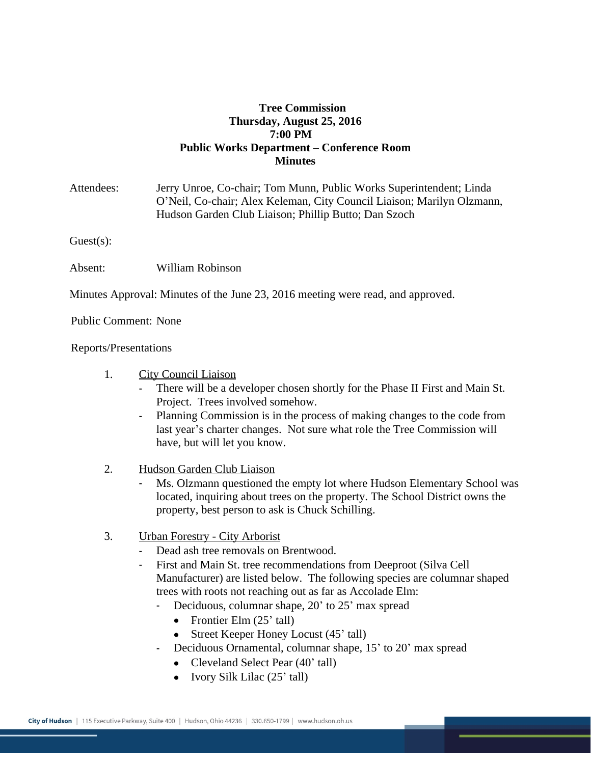## **Tree Commission Thursday, August 25, 2016 7:00 PM Public Works Department – Conference Room Minutes**

| Attendees:                                                                      | Jerry Unroe, Co-chair; Tom Munn, Public Works Superintendent; Linda<br>O'Neil, Co-chair; Alex Keleman, City Council Liaison; Marilyn Olzmann,<br>Hudson Garden Club Liaison; Phillip Butto; Dan Szoch |
|---------------------------------------------------------------------------------|-------------------------------------------------------------------------------------------------------------------------------------------------------------------------------------------------------|
| $Guest(s)$ :                                                                    |                                                                                                                                                                                                       |
| Absent:                                                                         | William Robinson                                                                                                                                                                                      |
| Minutes Approval: Minutes of the June 23, 2016 meeting were read, and approved. |                                                                                                                                                                                                       |
| <b>Public Comment: None</b>                                                     |                                                                                                                                                                                                       |
| Reports/Presentations                                                           |                                                                                                                                                                                                       |

- 1. City Council Liaison
	- There will be a developer chosen shortly for the Phase II First and Main St. Project. Trees involved somehow.
	- Planning Commission is in the process of making changes to the code from last year's charter changes. Not sure what role the Tree Commission will have, but will let you know.
- 2. Hudson Garden Club Liaison
	- Ms. Olzmann questioned the empty lot where Hudson Elementary School was located, inquiring about trees on the property. The School District owns the property, best person to ask is Chuck Schilling.
- 3. Urban Forestry City Arborist
	- Dead ash tree removals on Brentwood.
	- First and Main St. tree recommendations from Deeproot (Silva Cell Manufacturer) are listed below. The following species are columnar shaped trees with roots not reaching out as far as Accolade Elm:
		- Deciduous, columnar shape, 20' to 25' max spread
			- Frontier Elm  $(25'$  tall)
			- Street Keeper Honey Locust (45' tall)
		- Deciduous Ornamental, columnar shape, 15' to 20' max spread
			- Cleveland Select Pear (40' tall)
			- Ivory Silk Lilac (25' tall)